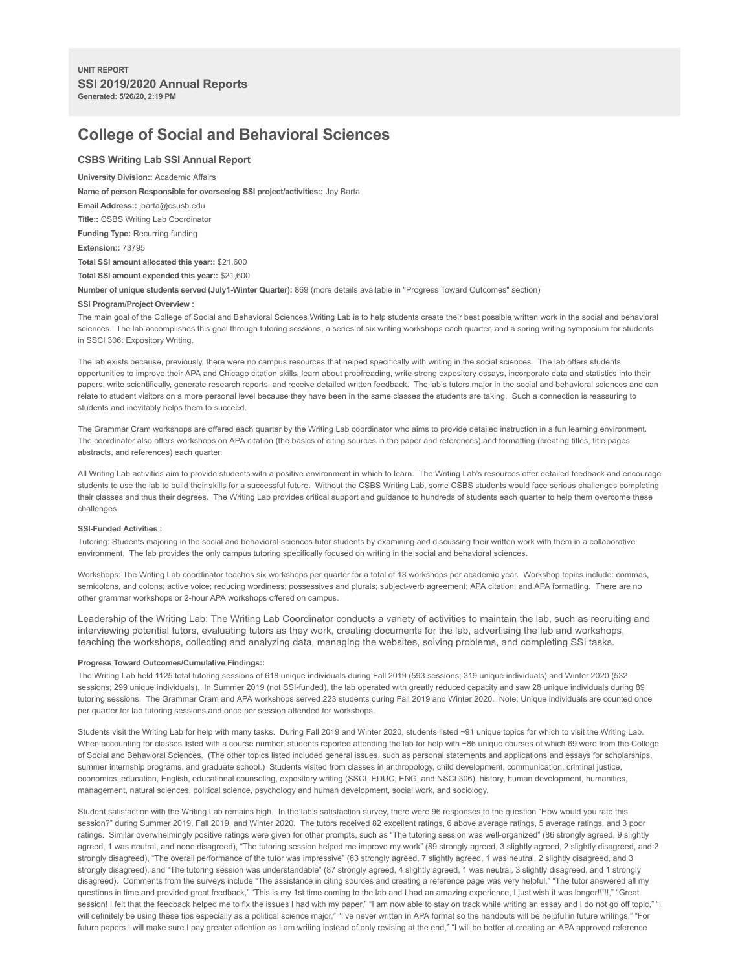# **College of Social and Behavioral Sciences**

# **CSBS Writing Lab SSI Annual Report**

# **University Division::** Academic Affairs

**Name of person Responsible for overseeing SSI project/activities::** Joy Barta

**Email Address::** jbarta@csusb.edu

**Title::** CSBS Writing Lab Coordinator

**Funding Type:** Recurring funding

**Extension::** 73795

**Total SSI amount allocated this year::** \$21,600

**Total SSI amount expended this year::** \$21,600

**Number of unique students served (July1-Winter Quarter):** 869 (more details available in "Progress Toward Outcomes" section)

## **SSI Program/Project Overview :**

The main goal of the College of Social and Behavioral Sciences Writing Lab is to help students create their best possible written work in the social and behavioral sciences. The lab accomplishes this goal through tutoring sessions, a series of six writing workshops each quarter, and a spring writing symposium for students in SSCI 306: Expository Writing.

The lab exists because, previously, there were no campus resources that helped specifically with writing in the social sciences. The lab offers students opportunities to improve their APA and Chicago citation skills, learn about proofreading, write strong expository essays, incorporate data and statistics into their papers, write scientifically, generate research reports, and receive detailed written feedback. The lab's tutors major in the social and behavioral sciences and can relate to student visitors on a more personal level because they have been in the same classes the students are taking. Such a connection is reassuring to students and inevitably helps them to succeed.

The Grammar Cram workshops are offered each quarter by the Writing Lab coordinator who aims to provide detailed instruction in a fun learning environment. The coordinator also offers workshops on APA citation (the basics of citing sources in the paper and references) and formatting (creating titles, title pages, abstracts, and references) each quarter.

All Writing Lab activities aim to provide students with a positive environment in which to learn. The Writing Lab's resources offer detailed feedback and encourage students to use the lab to build their skills for a successful future. Without the CSBS Writing Lab, some CSBS students would face serious challenges completing their classes and thus their degrees. The Writing Lab provides critical support and guidance to hundreds of students each quarter to help them overcome these challenges.

## **SSI-Funded Activities :**

Tutoring: Students majoring in the social and behavioral sciences tutor students by examining and discussing their written work with them in a collaborative environment. The lab provides the only campus tutoring specifically focused on writing in the social and behavioral sciences.

Workshops: The Writing Lab coordinator teaches six workshops per quarter for a total of 18 workshops per academic year. Workshop topics include: commas, semicolons, and colons; active voice; reducing wordiness; possessives and plurals; subject-verb agreement; APA citation; and APA formatting. There are no other grammar workshops or 2-hour APA workshops offered on campus.

Leadership of the Writing Lab: The Writing Lab Coordinator conducts a variety of activities to maintain the lab, such as recruiting and interviewing potential tutors, evaluating tutors as they work, creating documents for the lab, advertising the lab and workshops, teaching the workshops, collecting and analyzing data, managing the websites, solving problems, and completing SSI tasks.

#### **Progress Toward Outcomes/Cumulative Findings::**

The Writing Lab held 1125 total tutoring sessions of 618 unique individuals during Fall 2019 (593 sessions; 319 unique individuals) and Winter 2020 (532 sessions; 299 unique individuals). In Summer 2019 (not SSI-funded), the lab operated with greatly reduced capacity and saw 28 unique individuals during 89 tutoring sessions. The Grammar Cram and APA workshops served 223 students during Fall 2019 and Winter 2020. Note: Unique individuals are counted once per quarter for lab tutoring sessions and once per session attended for workshops.

Students visit the Writing Lab for help with many tasks. During Fall 2019 and Winter 2020, students listed ~91 unique topics for which to visit the Writing Lab. When accounting for classes listed with a course number, students reported attending the lab for help with ~86 unique courses of which 69 were from the College of Social and Behavioral Sciences. (The other topics listed included general issues, such as personal statements and applications and essays for scholarships, summer internship programs, and graduate school.) Students visited from classes in anthropology, child development, communication, criminal justice, economics, education, English, educational counseling, expository writing (SSCI, EDUC, ENG, and NSCI 306), history, human development, humanities, management, natural sciences, political science, psychology and human development, social work, and sociology.

Student satisfaction with the Writing Lab remains high. In the lab's satisfaction survey, there were 96 responses to the question "How would you rate this session?" during Summer 2019, Fall 2019, and Winter 2020. The tutors received 82 excellent ratings, 6 above average ratings, 5 average ratings, and 3 poor ratings. Similar overwhelmingly positive ratings were given for other prompts, such as "The tutoring session was well-organized" (86 strongly agreed, 9 slightly agreed, 1 was neutral, and none disagreed), "The tutoring session helped me improve my work" (89 strongly agreed, 3 slightly agreed, 2 slightly disagreed, and 2 strongly disagreed), "The overall performance of the tutor was impressive" (83 strongly agreed, 7 slightly agreed, 1 was neutral, 2 slightly disagreed, and 3 strongly disagreed), and "The tutoring session was understandable" (87 strongly agreed, 4 slightly agreed, 1 was neutral, 3 slightly disagreed, and 1 strongly disagreed). Comments from the surveys include "The assistance in citing sources and creating a reference page was very helpful," "The tutor answered all my questions in time and provided great feedback," "This is my 1st time coming to the lab and I had an amazing experience, I just wish it was longer!!!!!," "Great session! I felt that the feedback helped me to fix the issues I had with my paper," "I am now able to stay on track while writing an essay and I do not go off topic," "I will definitely be using these tips especially as a political science major," "I've never written in APA format so the handouts will be helpful in future writings," "For future papers I will make sure I pay greater attention as I am writing instead of only revising at the end," "I will be better at creating an APA approved reference